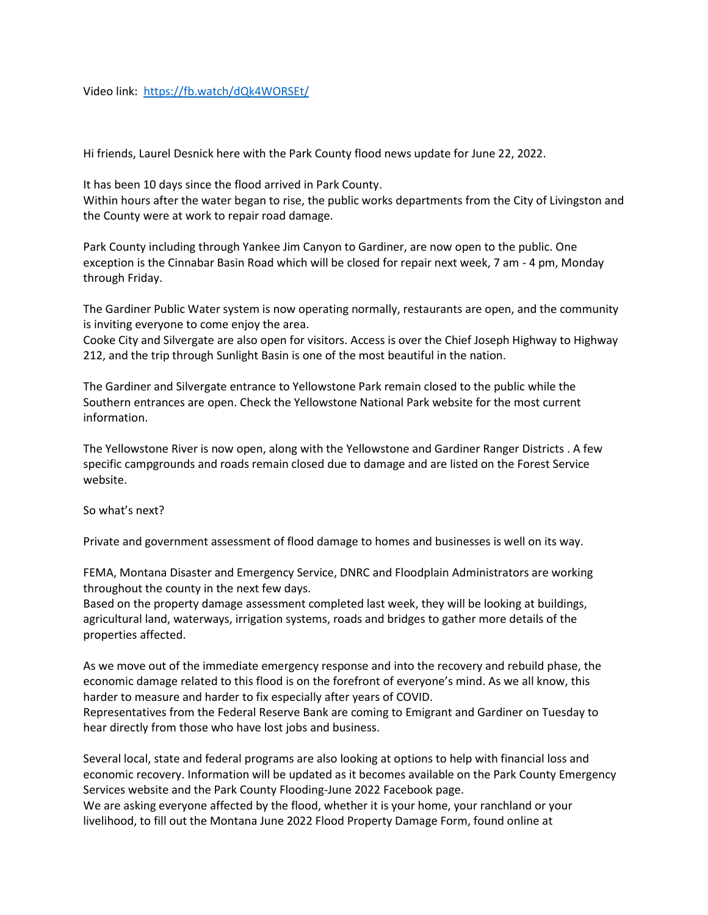Video link: <https://fb.watch/dQk4WORSEt/>

Hi friends, Laurel Desnick here with the Park County flood news update for June 22, 2022.

It has been 10 days since the flood arrived in Park County.

Within hours after the water began to rise, the public works departments from the City of Livingston and the County were at work to repair road damage.

Park County including through Yankee Jim Canyon to Gardiner, are now open to the public. One exception is the Cinnabar Basin Road which will be closed for repair next week, 7 am - 4 pm, Monday through Friday.

The Gardiner Public Water system is now operating normally, restaurants are open, and the community is inviting everyone to come enjoy the area.

Cooke City and Silvergate are also open for visitors. Access is over the Chief Joseph Highway to Highway 212, and the trip through Sunlight Basin is one of the most beautiful in the nation.

The Gardiner and Silvergate entrance to Yellowstone Park remain closed to the public while the Southern entrances are open. Check the Yellowstone National Park website for the most current information.

The Yellowstone River is now open, along with the Yellowstone and Gardiner Ranger Districts . A few specific campgrounds and roads remain closed due to damage and are listed on the Forest Service website.

So what's next?

Private and government assessment of flood damage to homes and businesses is well on its way.

FEMA, Montana Disaster and Emergency Service, DNRC and Floodplain Administrators are working throughout the county in the next few days.

Based on the property damage assessment completed last week, they will be looking at buildings, agricultural land, waterways, irrigation systems, roads and bridges to gather more details of the properties affected.

As we move out of the immediate emergency response and into the recovery and rebuild phase, the economic damage related to this flood is on the forefront of everyone's mind. As we all know, this harder to measure and harder to fix especially after years of COVID.

Representatives from the Federal Reserve Bank are coming to Emigrant and Gardiner on Tuesday to hear directly from those who have lost jobs and business.

Several local, state and federal programs are also looking at options to help with financial loss and economic recovery. Information will be updated as it becomes available on the Park County Emergency Services website and the Park County Flooding-June 2022 Facebook page.

We are asking everyone affected by the flood, whether it is your home, your ranchland or your livelihood, to fill out the Montana June 2022 Flood Property Damage Form, found online at